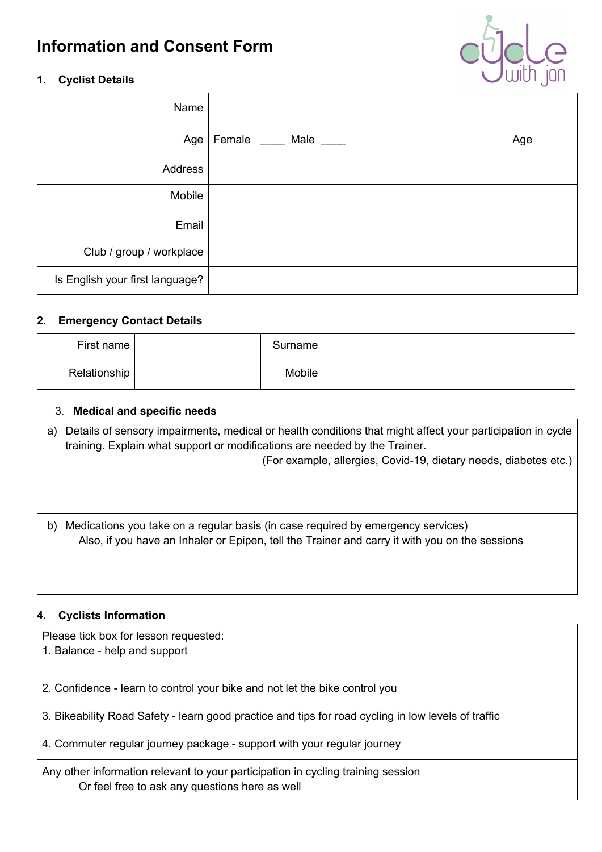# **Information and Consent Form**



### **1. Cyclist Details**

| Name                            |                              |     |
|---------------------------------|------------------------------|-----|
|                                 | Age   Female _____ Male ____ | Age |
| Address                         |                              |     |
| Mobile                          |                              |     |
| Email                           |                              |     |
| Club / group / workplace        |                              |     |
| Is English your first language? |                              |     |

### **2. Emergency Contact Details**

| First name   | Surname |  |
|--------------|---------|--|
| Relationship | Mobile  |  |

### 3. **Medical and specific needs**

a) Details of sensory impairments, medical or health conditions that might affect your participation in cycle training. Explain what support or modifications are needed by the Trainer. (For example, allergies, Covid-19, dietary needs, diabetes etc.)

b) Medications you take on a regular basis (in case required by emergency services) Also, if you have an Inhaler or Epipen, tell the Trainer and carry it with you on the sessions

# **4. Cyclists Information**

Please tick box for lesson requested:

1. Balance - help and support

2. Confidence - learn to control your bike and not let the bike control you

3. Bikeability Road Safety - learn good practice and tips for road cycling in low levels of traffic

4. Commuter regular journey package - support with your regular journey

Any other information relevant to your participation in cycling training session Or feel free to ask any questions here as well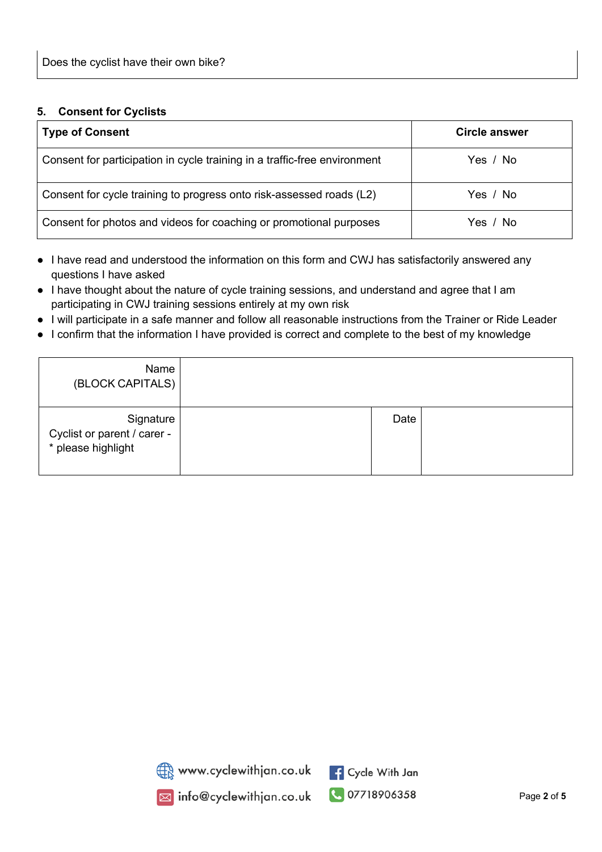#### **5. Consent for Cyclists**

| <b>Type of Consent</b>                                                    | Circle answer |
|---------------------------------------------------------------------------|---------------|
| Consent for participation in cycle training in a traffic-free environment | Yes / No      |
| Consent for cycle training to progress onto risk-assessed roads (L2)      | Yes / No      |
| Consent for photos and videos for coaching or promotional purposes        | Yes / No      |

- I have read and understood the information on this form and CWJ has satisfactorily answered any questions I have asked
- I have thought about the nature of cycle training sessions, and understand and agree that I am participating in CWJ training sessions entirely at my own risk
- I will participate in a safe manner and follow all reasonable instructions from the Trainer or Ride Leader
- I confirm that the information I have provided is correct and complete to the best of my knowledge

| Name<br>(BLOCK CAPITALS)                                       |      |  |
|----------------------------------------------------------------|------|--|
| Signature<br>Cyclist or parent / carer -<br>* please highlight | Date |  |



www.cyclewithjan.co.uk<br>a info@cyclewithjan.co.uk

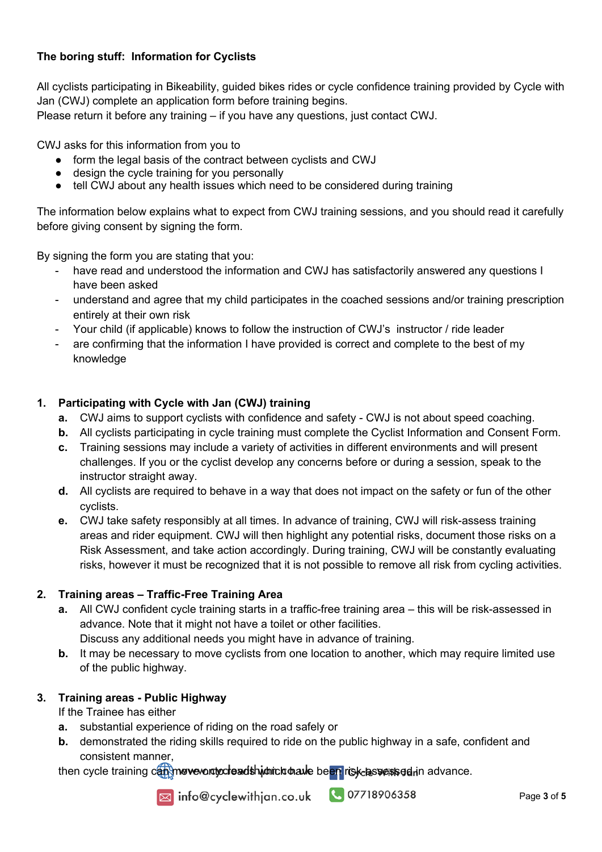# **The boring stuff: Information for Cyclists**

All cyclists participating in Bikeability, guided bikes rides or cycle confidence training provided by Cycle with Jan (CWJ) complete an application form before training begins.

Please return it before any training – if you have any questions, just contact CWJ.

CWJ asks for this information from you to

- form the legal basis of the contract between cyclists and CWJ
- design the cycle training for you personally
- tell CWJ about any health issues which need to be considered during training

The information below explains what to expect from CWJ training sessions, and you should read it carefully before giving consent by signing the form.

By signing the form you are stating that you:

- have read and understood the information and CWJ has satisfactorily answered any questions I have been asked
- understand and agree that my child participates in the coached sessions and/or training prescription entirely at their own risk
- Your child (if applicable) knows to follow the instruction of CWJ's instructor / ride leader
- are confirming that the information I have provided is correct and complete to the best of my knowledge

# **1. Participating with Cycle with Jan (CWJ) training**

- **a.** CWJ aims to support cyclists with confidence and safety CWJ is not about speed coaching.
- **b.** All cyclists participating in cycle training must complete the Cyclist Information and Consent Form.
- **c.** Training sessions may include a variety of activities in different environments and will present challenges. If you or the cyclist develop any concerns before or during a session, speak to the instructor straight away.
- **d.** All cyclists are required to behave in a way that does not impact on the safety or fun of the other cyclists.
- **e.** CWJ take safety responsibly at all times. In advance of training, CWJ will risk-assess training areas and rider equipment. CWJ will then highlight any potential risks, document those risks on a Risk Assessment, and take action accordingly. During training, CWJ will be constantly evaluating risks, however it must be recognized that it is not possible to remove all risk from cycling activities.

# **2. Training areas – Traffic-Free Training Area**

- **a.** All CWJ confident cycle training starts in a traffic-free training area this will be risk-assessed in advance. Note that it might not have a toilet or other facilities. Discuss any additional needs you might have in advance of training.
- **b.** It may be necessary to move cyclists from one location to another, which may require limited use of the public highway.

# **3. Training areas - Public Highway**

If the Trainee has either

- **a.** substantial experience of riding on the road safely or
- **b.** demonstrated the riding skills required to ride on the public highway in a safe, confident and consistent manner,

then cycle training can move onto read shidhich have been risk-lassessed in advance.



a info@cyclewithjan.co.uk

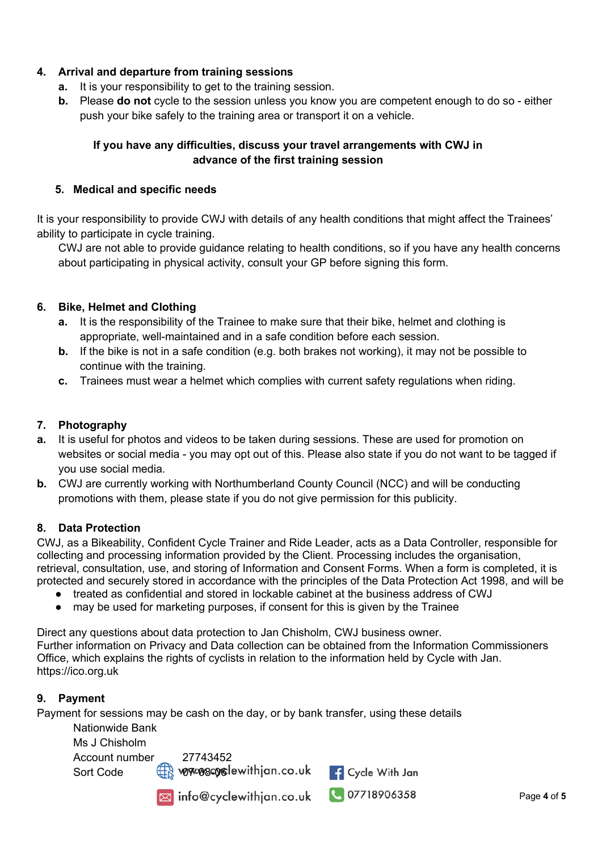# **4. Arrival and departure from training sessions**

- **a.** It is your responsibility to get to the training session.
- **b.** Please **do not** cycle to the session unless you know you are competent enough to do so either push your bike safely to the training area or transport it on a vehicle.

# **If you have any difficulties, discuss your travel arrangements with CWJ in advance of the first training session**

### **5. Medical and specific needs**

It is your responsibility to provide CWJ with details of any health conditions that might affect the Trainees' ability to participate in cycle training.

CWJ are not able to provide guidance relating to health conditions, so if you have any health concerns about participating in physical activity, consult your GP before signing this form.

# **6. Bike, Helmet and Clothing**

- **a.** It is the responsibility of the Trainee to make sure that their bike, helmet and clothing is appropriate, well-maintained and in a safe condition before each session.
- **b.** If the bike is not in a safe condition (e.g. both brakes not working), it may not be possible to continue with the training.
- **c.** Trainees must wear a helmet which complies with current safety regulations when riding.

### **7. Photography**

- **a.** It is useful for photos and videos to be taken during sessions. These are used for promotion on websites or social media - you may opt out of this. Please also state if you do not want to be tagged if you use social media.
- **b.** CWJ are currently working with Northumberland County Council (NCC) and will be conducting promotions with them, please state if you do not give permission for this publicity.

#### **8. Data Protection**

CWJ, as a Bikeability, Confident Cycle Trainer and Ride Leader, acts as a Data Controller, responsible for collecting and processing information provided by the Client. Processing includes the organisation, retrieval, consultation, use, and storing of Information and Consent Forms. When a form is completed, it is protected and securely stored in accordance with the principles of the Data Protection Act 1998, and will be

- treated as confidential and stored in lockable cabinet at the business address of CWJ
- may be used for marketing purposes, if consent for this is given by the Trainee

Direct any questions about data protection to Jan Chisholm, CWJ business owner. Further information on Privacy and Data collection can be obtained from the Information Commissioners Office, which explains the rights of cyclists in relation to the information held by Cycle with Jan. https://ico.org.uk

# **9. Payment**

Payment for sessions may be cash on the day, or by bank transfer, using these details

Nationwide Bank Ms J Chisholm Account number 27743452

Sort Code 07-08-06

Minfo@cyclewithjan.co.uk